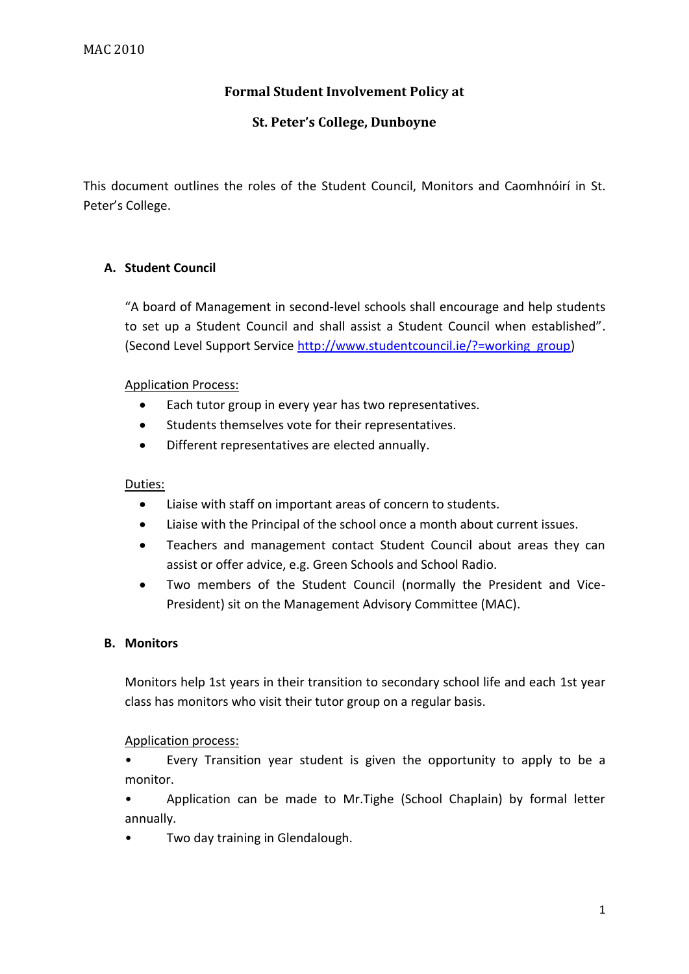# **Formal Student Involvement Policy at**

## **St. Peter's College, Dunboyne**

This document outlines the roles of the Student Council, Monitors and Caomhnóirí in St. Peter's College.

### **A. Student Council**

"A board of Management in second-level schools shall encourage and help students to set up a Student Council and shall assist a Student Council when established". (Second Level Support Service [http://www.studentcouncil.ie/?=working\\_group\)](http://www.studentcouncil.ie/?=working_group)

#### Application Process:

- Each tutor group in every year has two representatives.
- Students themselves vote for their representatives.
- Different representatives are elected annually.

#### Duties:

- Liaise with staff on important areas of concern to students.
- Liaise with the Principal of the school once a month about current issues.
- Teachers and management contact Student Council about areas they can assist or offer advice, e.g. Green Schools and School Radio.
- Two members of the Student Council (normally the President and Vice-President) sit on the Management Advisory Committee (MAC).

#### **B. Monitors**

Monitors help 1st years in their transition to secondary school life and each 1st year class has monitors who visit their tutor group on a regular basis.

#### Application process:

• Every Transition year student is given the opportunity to apply to be a monitor.

• Application can be made to Mr.Tighe (School Chaplain) by formal letter annually.

Two day training in Glendalough.